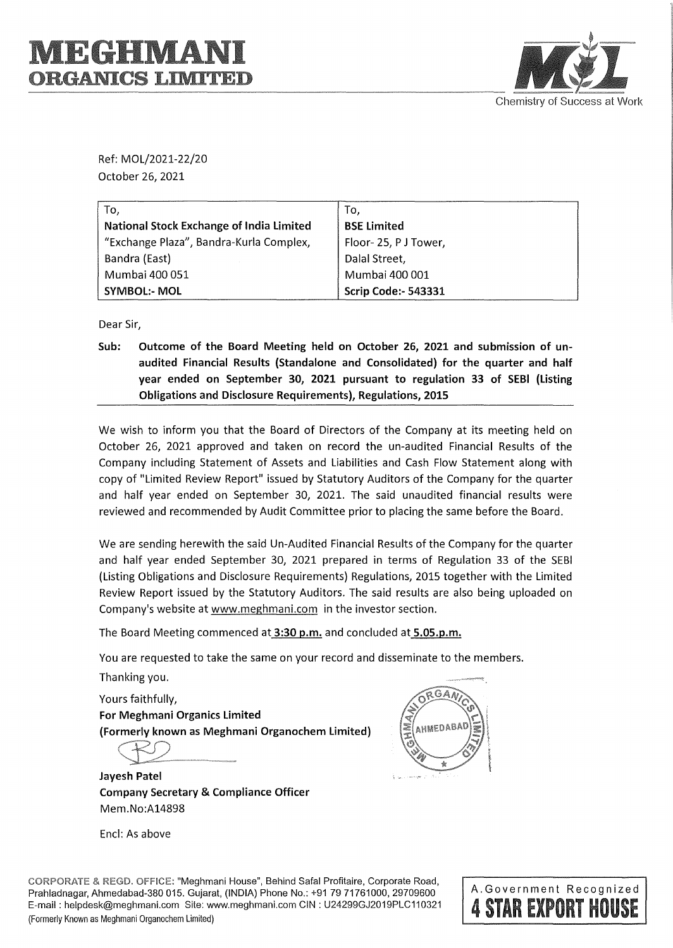## I **TEGHIVLA ORGANICS LIMITED**



Ref: MOL/2021-22/20 October 26, 2021

| To,                                             | To.                        |
|-------------------------------------------------|----------------------------|
| <b>National Stock Exchange of India Limited</b> | <b>BSE Limited</b>         |
| "Exchange Plaza", Bandra-Kurla Complex,         | Floor-25, PJ Tower,        |
| Bandra (East)                                   | Dalal Street,              |
| Mumbai 400 051                                  | Mumbai 400 001             |
| <b>SYMBOL:- MOL</b>                             | <b>Scrip Code:- 543331</b> |

Dear Sir,

**Sub: Outcome of the Board Meeting held on October 26, 2021 and submission of unaudited Financial Results (Standalone and Consolidated) for the quarter and half year ended on September 30, 2021 pursuant to regulation 33 of SEBI (Listing Obligations and Disclosure Requirements), Regulations, 2015** 

We wish to inform you that the Board of Directors of the Company at its meeting held on October 26, 2021 approved and taken on record the un-audited Financial Results of the Company including Statement of Assets and Liabilities and Cash Flow Statement along with copy of "Limited Review Report" issued by Statutory Auditors of the Company for the quarter and half year ended on September 30, 2021. The said unaudited financial results were reviewed and recommended by Audit Committee prior to placing the same before the Board.

We are sending herewith the said Un-Audited Financial Results of the Company for the quarter and half year ended September 30, 2021 prepared in terms of Regulation 33 of the SEBI (Listing Obligations and Disclosure Requirements) Regulations, 2015 together with the Limited Review Report issued by the Statutory Auditors. The said results are also being uploaded on Company's website at www.meghmani.com in the investor section.

The Board Meeting commenced at **3:30 p.m.** and concluded at **5.05.p.m.** 

You are requested to take the same on your record and disseminate to the members.

Yours faithfully, **For Meghmani Organics Limited (Formerly known as Meghmani Organochem Limited}** 

 $\bigoplus$ 

**Jayesh Patel Company Secretary** & **Compliance Officer**  Mem.No:A14898

Encl: As above



**CORPORATE** & **REGD. OFFICE:** "Meghmani House", Behind Safa! Profitaire, Corporate Road, Prahladnagar, Ahmedabad-380 015. Gujarat, (INDIA) Phone No.: +917971761000, 29709600 E-mail: helpdesk@meghmani.com Site: www.meghmani.com CIN: U24299GJ2019PLC110321 (Formerly Known as Meghmani Organochem Limited)

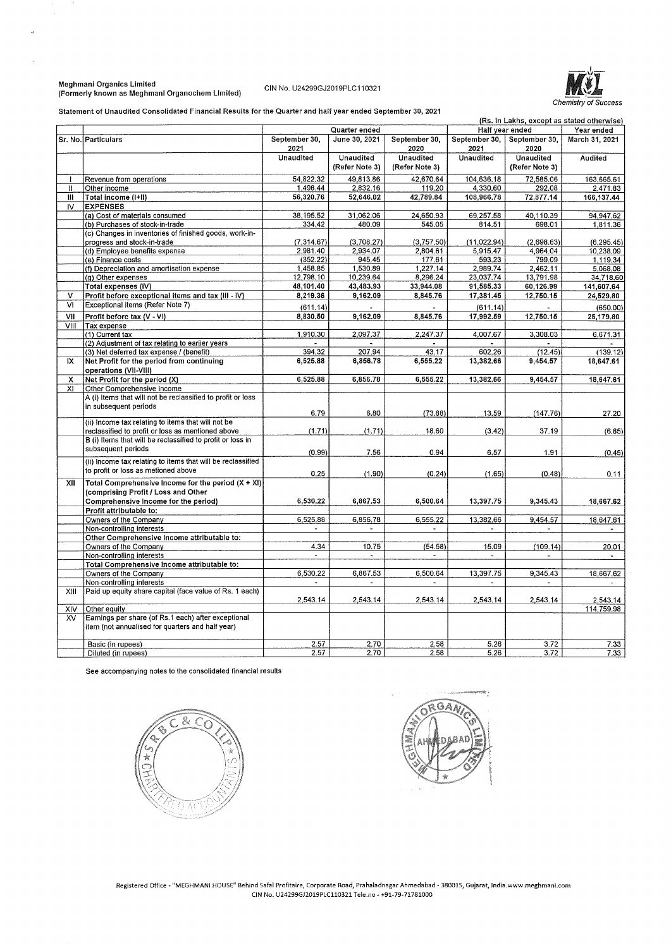### Meghmani Organics Limited (Formerly known as Meghmanl Organochem Limited) CIN No. U24299GJ2019PLC110321



Statement of Unaudited Consolidated Financial Results for the Quarter and half year ended September 30, 2021

| (Rs. in Lakhs, except as stated otherwise) |                                                             |                       |                       |                       |                       |                       |                |
|--------------------------------------------|-------------------------------------------------------------|-----------------------|-----------------------|-----------------------|-----------------------|-----------------------|----------------|
|                                            |                                                             |                       | Quarter ended         |                       |                       | Half year ended       | Year ended     |
|                                            | Sr. No. Particulars                                         | September 30,<br>2021 | June 30, 2021         | September 30,<br>2020 | September 30,<br>2021 | September 30,<br>2020 | March 31, 2021 |
|                                            |                                                             | Unaudited             | Unaudited             | Unaudited             | Unaudited             | <b>Unaudited</b>      | Audited        |
|                                            |                                                             |                       | (Refer Note 3)        | (Refer Note 3)        |                       | (Refer Note 3)        |                |
|                                            | Revenue from operations                                     | 54,822.32             | 49,813.86             | 42,670.64             | 104,636.18            | 72,585.06             | 163,665.61     |
| $\mathbf l$                                | Other income                                                | 1.498.44              | 2,832.16              | 119.20                | 4,330.60              | 292.08                | 2.471.83       |
| Ш                                          | Total income (I+II)                                         | 56,320.76             | 52,646.02             | 42,789.84             | 108,966.78            | 72,877.14             | 166,137.44     |
| IV.                                        | <b>EXPENSES</b>                                             |                       |                       |                       |                       |                       |                |
|                                            | (a) Cost of materials consumed                              | 38,195.52             | 31,062.06             | 24,650.93             | 69,257.58             | 40,110.39             | 94.947.62      |
|                                            | (b) Purchases of stock-in-trade                             | 334.42                | 480.09                | 545.05                | 814.51                | 698.01                | 1,811.36       |
|                                            | (c) Changes in inventories of finished goods, work-in-      |                       |                       |                       |                       |                       |                |
|                                            | progress and stock-in-trade                                 | (7.314.67)            | (3,708.27)            | (3,757.50)            | (11, 022.94)          | (2,698,63)            | (6, 295.45)    |
|                                            | (d) Employee benefits expense                               | 2,981.40              | 2,934.07              | 2,804.61              | 5,915.47              | 4,964.04              | 10,238.09      |
|                                            | (e) Finance costs                                           | (352.22)              | 945.45                | 177.61                | 593.23                | 799.09                | 1.119.34       |
|                                            | (f) Depreciation and amortisation expense                   | 1,458.85              | 1,530.89              | 1,227.14              | 2,989.74              | 2,462.11              | 5,068.08       |
|                                            | (g) Other expenses                                          | 12,798.10             | 10,239.64             | 8,296.24              | 23,037.74             | 13,791.98             | 34,718.60      |
|                                            | Total expenses (IV)                                         | 48,101.40             | 43,483.93             | 33,944.08             | 91,585.33             | 60,126.99             | 141,607.64     |
| V                                          | Profit before exceptional items and tax (III - IV)          | 8,219.36              | 9,162.09              | 8,845.76              | 17,381.45             | 12,750.15             | 24,529.80      |
| M                                          | Exceptional items (Refer Note 7)                            |                       |                       |                       |                       |                       |                |
|                                            |                                                             | (611.14)              |                       |                       | (611.14)              |                       | (650.00)       |
| VII                                        | Profit before tax (V - VI)                                  | 8,830.50              | 9,162.09              | 8,845.76              | 17,992.59             | 12,750.15             | 25,179.80      |
| VIII                                       | Tax expense                                                 |                       |                       |                       |                       |                       |                |
|                                            | (1) Current tax                                             | 1,910.30              | 2,097.37              | 2,247.37              | 4.007.67              | 3,308,03              | 6.671.31       |
|                                            | (2) Adjustment of tax relating to earlier years             |                       |                       |                       |                       |                       |                |
|                                            | (3) Net deferred tax expense / (benefit)                    | 394.32                | 207.94                | 43.17                 | 602.26                | (12.45)               | (139.12)       |
| IX                                         | Net Profit for the period from continuing                   | 6,525.88              | 6,856.78              | 6,555.22              | 13,382.66             | 9,454.57              | 18,647.61      |
|                                            | operations (VII-VIII)                                       |                       |                       |                       |                       |                       |                |
| x.                                         | Net Profit for the period (X)                               | 6,525.88              | 6,856.78              | 6,555.22              | 13,382.66             | 9,454.57              | 18,647.61      |
| XI                                         | Other Comprehensive Income                                  |                       |                       |                       |                       |                       |                |
|                                            | A (i) Items that will not be reclassified to profit or loss |                       |                       |                       |                       |                       |                |
|                                            | in subsequent periods                                       | 6.79                  | 6.80                  | (73.88)               | 13.59                 | (147.76)              | 27.20          |
|                                            | (ii) Income tax relating to items that will not be          |                       |                       |                       |                       |                       |                |
|                                            | reclassified to profit or loss as mentioned above           | (1.71)                | (1.71)                | 18,60                 | (3.42)                | 37.19                 | (6.85)         |
|                                            | B (i) Items that will be reclassified to profit or loss in  |                       |                       |                       |                       |                       |                |
|                                            | subsequent periods                                          |                       |                       |                       |                       |                       |                |
|                                            |                                                             | (0.99)                | 7.56                  | 0.94                  | 6,57                  | 1.91                  | (0.45)         |
|                                            | (ii) Income tax relating to items that will be reclassified |                       |                       |                       |                       |                       |                |
|                                            | to profit or loss as metioned above                         | 0.25                  | (1.90)                | (0.24)                | (1.65)                | (0.48)                | 0.11           |
| XII                                        | Total Comprehensive Income for the period $(X + X)$         |                       |                       |                       |                       |                       |                |
|                                            | (comprising Profit / Loss and Other                         |                       |                       |                       |                       |                       |                |
|                                            | Comprehensive Income for the period)                        | 6,530.22              | 6,867.53              | 6,500,64              | 13,397.75             | 9,345.43              | 18,667.62      |
|                                            | Profit attributable to:                                     |                       |                       |                       |                       |                       |                |
|                                            | Owners of the Company                                       | 6,525.88              | 6,856.78              | 6,555.22              | 13,382.66             | 9,454.57              | 18,647.61      |
|                                            | Non-controlling interests                                   | $\blacksquare$        | $\blacksquare$        |                       | $\blacksquare$        | $\sim$                |                |
|                                            | Other Comprehensive Income attributable to:                 |                       |                       |                       |                       |                       |                |
|                                            | Owners of the Company                                       | 4.34                  | 10.75                 | (54.58)               | 15.09                 | (109.14)              | 20.01          |
|                                            | Non-controlling interests                                   |                       |                       |                       |                       |                       |                |
|                                            | Total Comprehensive Income attributable to:                 |                       |                       |                       |                       |                       |                |
|                                            | Owners of the Company                                       | 6,530.22              | 6,867.53              | 6,500.64              | 13,397.75             | 9,345.43              | 18,667.62      |
|                                            | Non-controlling interests                                   |                       | $\tilde{\phantom{a}}$ |                       |                       | $\blacksquare$        |                |
| XIII                                       | Paid up equity share capital (face value of Rs. 1 each)     |                       |                       |                       |                       |                       |                |
|                                            |                                                             | 2,543.14              | 2,543.14              | 2,543.14              | 2,543.14              | 2,543.14              | 2,543.14       |
| <b>XIV</b>                                 | Other equity                                                |                       |                       |                       |                       |                       | 114,759.98     |
| XV                                         | Earnings per share (of Rs.1 each) after exceptional         |                       |                       |                       |                       |                       |                |
|                                            | item (not annualised for quarters and half year)            |                       |                       |                       |                       |                       |                |
|                                            |                                                             |                       |                       |                       |                       |                       |                |
|                                            | Basic (in rupees)                                           | 2.57                  | 2.70                  | 2.58                  | 5.26                  | 3.72                  | 7.33           |
|                                            | Diluted (in rupees)                                         | 2.57                  | 2.70                  | 2.58                  | 5.26                  | 3.72                  | 7.33           |

See accompanying notes to the consolidated financial results



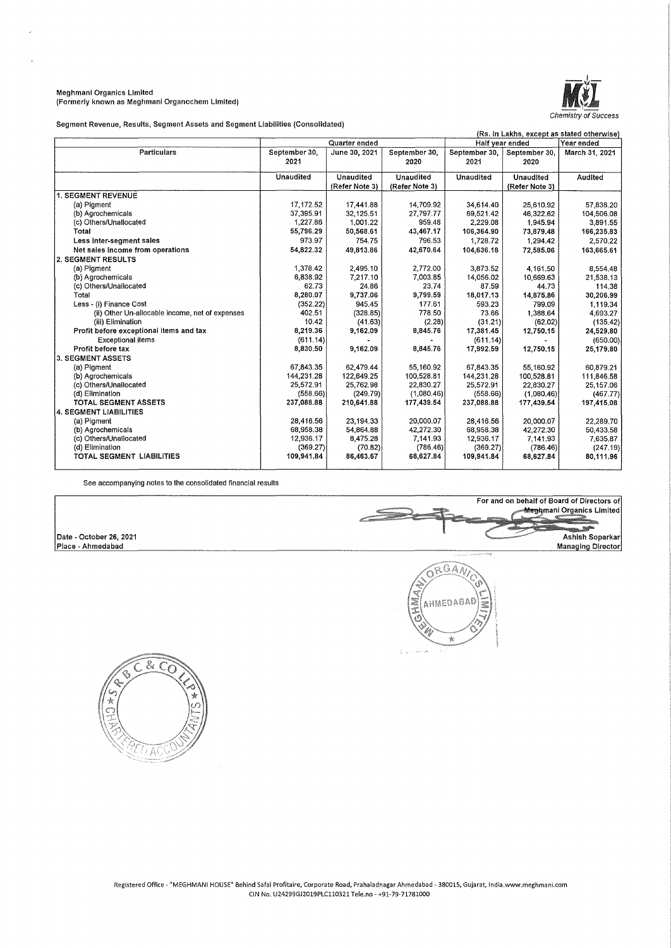### Meghmanl Organics Limited (Formerly known as Meghmani Organochem Limited)



Segment Revenue, Results, Segment Assets and Segment Liabilities (Consolidated)

| (Rs. in Lakhs, except as stated otherwise)      |               |                |                |               |                 |                |
|-------------------------------------------------|---------------|----------------|----------------|---------------|-----------------|----------------|
|                                                 |               | Quarter ended  |                |               | Half year ended | Year ended     |
| <b>Particulars</b>                              | September 30, | June 30, 2021  | September 30.  | September 30, | September 30,   | March 31, 2021 |
|                                                 | 2021          |                | 2020           | 2021          | 2020            |                |
|                                                 | Unaudited     | Unaudited      | Unaudited      | Unaudited     | Unaudited       | Audited        |
|                                                 |               | (Refer Note 3) | (Refer Note 3) |               | (Refer Note 3)  |                |
| 1. SEGMENT REVENUE                              |               |                |                |               |                 |                |
| (a) Pigment                                     | 17,172.52     | 17,441.88      | 14.709.92      | 34.614.40     | 25,610.92       | 57,838.20      |
| (b) Agrochemicals                               | 37,395.91     | 32,125.51      | 27 797.77      | 69,521.42     | 46,322.62       | 104,506,08     |
| (c) Others/Unallocated                          | 1.227.86      | 1,001.22       | 959.48         | 2,229.08      | 1,945.94        | 3,891.55       |
| Total                                           | 55,796.29     | 50,568.61      | 43.467.17      | 106,364.90    | 73,879.48       | 166,235.83     |
| Less Inter-segment sales                        | 973.97        | 754.75         | 796.53         | 1,728.72      | 1,294.42        | 2,570.22       |
| Net sales income from operations                | 54,822.32     | 49,813.86      | 42,670.64      | 104,636.18    | 72,585.06       | 163,665.61     |
| 2. SEGMENT RESULTS                              |               |                |                |               |                 |                |
| (a) Pigment                                     | 1,378.42      | 2,495.10       | 2,772.00       | 3,873.52      | 4,161.50        | 8,554.48       |
| (b) Agrochemicals                               | 6,838.92      | 7,217.10       | 7,003.85       | 14,056.02     | 10,669.63       | 21,538.13      |
| (c) Others/Unallocated                          | 62.73         | 24.86          | 23.74          | 87.59         | 44.73           | 114.38         |
| Total                                           | 8,280.07      | 9,737.06       | 9,799.59       | 18.017.13     | 14,875.86       | 30,206.99      |
| Less - (i) Finance Cost                         | (352.22)      | 945.45         | 177.61         | 593.23        | 799.09          | 1,119.34       |
| (ii) Other Un-allocable income, net of expenses | 402.51        | (328.85)       | 778.50         | 73.66         | 1.388.64        | 4.693.27       |
| (iii) Elimination                               | 10.42         | (41.63)        | (2.28)         | (31.21)       | (62.02)         | (135.42)       |
| Profit before exceptional items and tax         | 8 219 36      | 9,162.09       | 8,845.76       | 17.381.45     | 12.750,15       | 24,529,80      |
| <b>Exceptional items</b>                        | (611.14)      |                |                | (611.14)      |                 | (650.00)       |
| Profit before tax                               | 8,830.50      | 9.162.09       | 8.845.76       | 17,992.59     | 12,750,15       | 25,179.80      |
| 3. SEGMENT ASSETS                               |               |                |                |               |                 |                |
| (a) Pigment                                     | 67.843.35     | 62,479.44      | 55,160.92      | 67,843.35     | 55,160.92       | 60.879.21      |
| (b) Agrochemicals                               | 144.231.28    | 122.649.25     | 100,528.81     | 144.231.28    | 100,528.81      | 111,846.58     |
| (c) Others/Unallocated                          | 25,572.91     | 25,762.98      | 22,830.27      | 25,572.91     | 22,830.27       | 25,157.06      |
| (d) Elimination                                 | (558.66)      | (249.79)       | (1,080.46)     | (558.66)      | (1,080.46)      | (467.77)       |
| <b>TOTAL SEGMENT ASSETS</b>                     | 237.088.88    | 210,641.88     | 177,439.54     | 237,088,88    | 177,439.54      | 197,415.08     |
| 4. SEGMENT LIABILITIES                          |               |                |                |               |                 |                |
| (a) Pigment                                     | 28,416.56     | 23,194.33      | 20,000.07      | 28,416.56     | 20,000.07       | 22.289.70      |
| (b) Agrochemicals                               | 68,958.38     | 54,864.88      | 42,272.30      | 68,958.38     | 42,272.30       | 50,433.58      |
| (c) Others/Unallocated                          | 12,936.17     | 8,475.28       | 7,141.93       | 12 936 17     | 7.141.93        | 7,635.87       |
| (d) Elimination                                 | (369.27)      | (70.82)        | (786.46)       | (369.27)      | (786.46)        | (247.19)       |
| TOTAL SEGMENT LIABILITIES                       | 109,941.84    | 86,463.67      | 68,627.84      | 109,941.84    | 68,627.84       | 80,111.96      |
|                                                 |               |                |                |               |                 |                |

See accompanying notes to the consolidated financial results

Date - October 26, 2021 Place - Ahmedabad





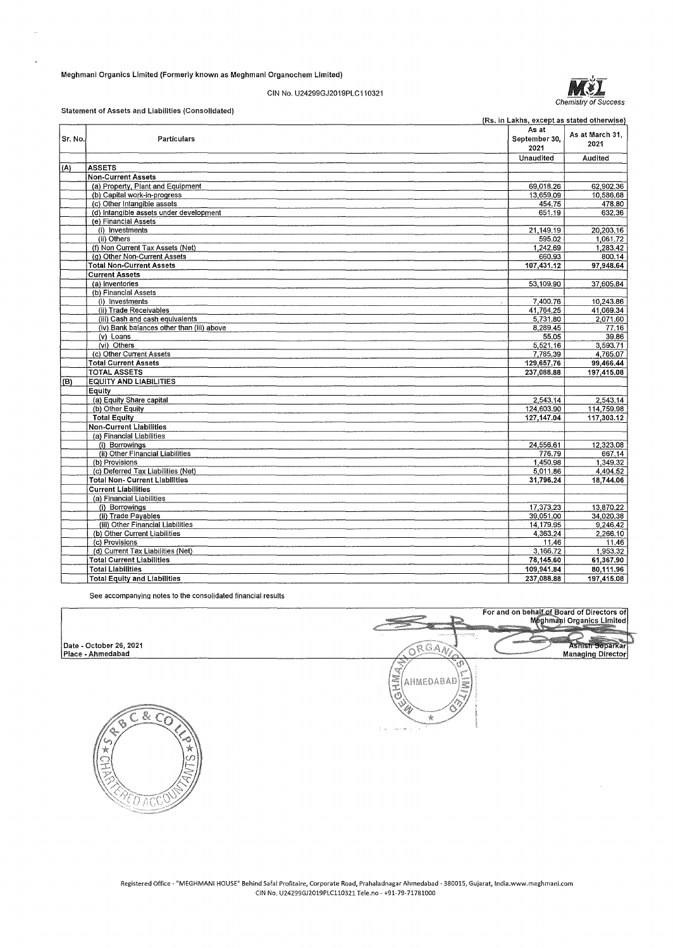### Meghmani Organics Limited (Formerly known as Meghmanl Organochem Limited)



### CIN No. U24299GJ2019PLC110321

### Statement of Assets and Liabilities (Consolidated)

|         |                                           | (Rs. in Lakhs, except as stated otherwise) |                         |
|---------|-------------------------------------------|--------------------------------------------|-------------------------|
| Sr. No. | Particulars                               | As at<br>September 30,<br>2021             | As at March 31,<br>2021 |
|         |                                           | Unaudited                                  | Audited                 |
| (A)     | <b>ASSETS</b>                             |                                            |                         |
|         | <b>Non-Current Assets</b>                 |                                            |                         |
|         | (a) Property, Plant and Equipment         | 69,018.26                                  | 62,902.36               |
|         | (b) Capital work-in-progress              | 13,659.09                                  | 10,586,68               |
|         | (c) Other Intangible assets               | 454.75                                     | 478,80                  |
|         | (d) intangible assets under development   | 651.19                                     | 632.36                  |
|         | (e) Financial Assets                      |                                            |                         |
|         | (i) Investments                           | 21,149.19                                  | 20.203.16               |
|         | (ii) Others                               | 595.02                                     | 1.061.72                |
|         | (f) Non Current Tax Assets (Net)          | 1,242.69                                   | 1,283.42                |
|         | (a) Other Non-Current Assets              | 660.93                                     | 800.14                  |
|         | <b>Total Non-Current Assets</b>           | 107.431.12                                 | 97.948.64               |
|         | <b>Current Assets</b>                     |                                            |                         |
|         | (a) Inventories                           | 53,109.90                                  | 37,605.84               |
|         | (b) Financial Assets                      |                                            |                         |
|         | (i) Investments                           | 7.400.76                                   | 10,243.86               |
|         | (ii) Trade Receivables                    | 41,764.25                                  | 41,069.34               |
|         | (iii) Cash and cash equivalents           | 5,731.80                                   | 2,071.60                |
|         | (iv) Bank balances other than (iii) above | 8,289.45                                   | 77.16                   |
|         | $(v)$ Loans                               | 55.05                                      | 39.86                   |
|         | (vi) Others                               | 5,521.16                                   | 3,593.71                |
|         | (c) Other Current Assets                  | 7,785.39                                   | 4,765.07                |
|         | <b>Total Current Assets</b>               | 129,657.76                                 | 99,466.44               |
|         | <b>TOTAL ASSETS</b>                       | 237,088.88                                 | 197,415.08              |
| (B)     | <b>EQUITY AND LIABILITIES</b>             |                                            |                         |
|         | Equity                                    |                                            |                         |
|         | (a) Equity Share capital                  | 2.543.14                                   | 2.543.14                |
|         | (b) Other Equity                          | 124,603.90                                 | 114,759.98              |
|         | <b>Total Equity</b>                       | 127, 147.04                                | 117,303.12              |
|         | Non-Current Liabilities                   |                                            |                         |
|         | (a) Financial Liabilities                 |                                            |                         |
|         | (i) Borrowings                            | 24,556.61                                  | 12,323.08               |
|         | (ii) Other Financial Liabilities          | 776.79                                     | 667.14                  |
|         | (b) Provisions                            | 1.450.98                                   | 1.349.32                |
|         | (c) Deferred Tax Liabilities (Net)        | 5.011.86                                   | 4,404.52                |
|         | <b>Total Non- Current Liabilities</b>     | 31,796.24                                  | 18.744.06               |
|         | <b>Current Liabilities</b>                |                                            |                         |
|         | (a) Financial Liabilities                 |                                            |                         |
|         | (i) Borrowings                            | 17,373.23                                  | 13,870.22               |
|         | (ii) Trade Payables                       | 39,051.00                                  | 34.020.38               |
|         | (iii) Other Financial Liabilities         | 14,179.95                                  | 9,246.42                |
|         | (b) Other Current Liabilities             | 4,363.24                                   | 2,266.10                |
|         | (c) Provisions                            | 11.46                                      | 11.46                   |
|         | (d) Current Tax Liabilities (Net)         | 3,166.72                                   | 1.953.32                |
|         | <b>Total Current Liabilities</b>          | 78,145.60                                  | 61,367.90               |
|         | <b>Total Liabilities</b>                  | 109.941.84                                 | 80,111.96               |
|         | <b>Total Equity and Liabilities</b>       | 237,088.88                                 | 197,415.08              |
|         |                                           |                                            |                         |

See accompanying notes to the consolidated financial results

# Date • October 26, 2021 Place • Ahmedabad





For and on behalf of Board of Directors of<br>Meghmani Organics Limited

Ashish Separkar<br>Managing Director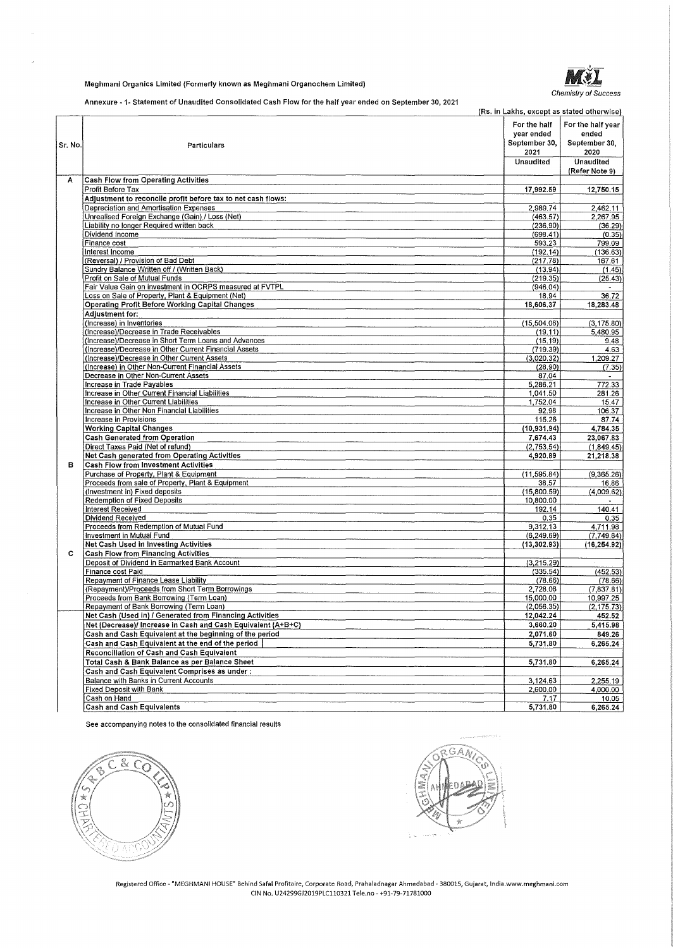### Meghmanl Organics Limited (Formerly known as Meghmani Organochem Limited)

Chemistry of Success

Annexure • 1- Statement of Unaudited Consolidated Cash Flow for the half year ended on September 30, 2021

|         | <b>1. Ownershout of Officiality a collocitation official fort for the fight year chapa off oppicitive for th</b> | (Rs. in Lakhs, except as stated otherwise)          |                                                     |
|---------|------------------------------------------------------------------------------------------------------------------|-----------------------------------------------------|-----------------------------------------------------|
| Sr. No. | Particulars                                                                                                      | For the half<br>vear ended<br>September 30,<br>2021 | For the half year<br>ended<br>September 30,<br>2020 |
|         |                                                                                                                  | Unaudited                                           | Unaudited                                           |
| Α       | <b>Cash Flow from Operating Activities</b>                                                                       |                                                     | (Refer Note 9)                                      |
|         | Profit Before Tax                                                                                                | 17,992.59                                           | 12,750.15                                           |
|         | Adjustment to reconcile profit before tax to net cash flows:                                                     |                                                     |                                                     |
|         | Depreciation and Amortisation Expenses                                                                           | 2,989.74                                            | 2,462.11                                            |
|         | Unrealised Foreign Exchange (Gain) / Loss (Net)                                                                  | (463.57)                                            | 2,267.95                                            |
|         | Liability no longer Required written back                                                                        | (236, 90)                                           | (36.29)                                             |
|         | Dividend Income<br>Finance cost                                                                                  | (698.41)<br>593.23                                  | (0.35)<br>799.09                                    |
|         | Interest Income                                                                                                  | (192.14)                                            | (136, 63)                                           |
|         | (Reversal) / Provision of Bad Debt                                                                               | (217.78)                                            | 167.61                                              |
|         | Sundry Balance Written off / (Written Back)                                                                      | (13.94)                                             | (1.45)                                              |
|         | Profit on Sale of Mutual Funds                                                                                   | (219.35)                                            | (25.43)                                             |
|         | Fair Value Gain on investment in OCRPS measured at FVTPL                                                         | (946.04)                                            |                                                     |
|         | Loss on Sale of Property, Plant & Equipment (Net)                                                                | 18.94                                               | 36.72                                               |
|         | Operating Profit Before Working Capital Changes                                                                  | 18,606,37                                           | 18,283.48                                           |
|         | Adjustment for:<br>(Increase) in Inventories                                                                     | (15,504.06)                                         | (3, 175.80)                                         |
|         | (Increase)/Decrease in Trade Receivables                                                                         | (19.11)                                             | 5,480.95                                            |
|         | (Increase)/Decrease in Short Term Loans and Advances                                                             | (15.19)                                             | 9.48                                                |
|         | (Increase)/Decrease in Other Current Financial Assets                                                            | (719.39)                                            | 4.63                                                |
|         | (Increase)/Decrease in Other Current Assets                                                                      | (3,020.32)                                          | 1,209.27                                            |
|         | (Increase) in Other Non-Current Financial Assets                                                                 | (28.90)                                             | (7.35)                                              |
|         | Decrease in Other Non-Current Assets                                                                             | 87.04                                               |                                                     |
|         | Increase in Trade Payables                                                                                       | 5,286.21                                            | 772.33                                              |
|         | Increase in Other Current Financial Liabilities<br>Increase in Other Current Liabilities                         | 1,041.50<br>1,752.04                                | 281.26<br>15.47                                     |
|         | Increase in Other Non Financial Liabilities                                                                      | 92.98                                               | 106.37                                              |
|         | Increase in Provisions                                                                                           | 115.26                                              | 87.74                                               |
|         | <b>Working Capital Changes</b>                                                                                   | (10, 931, 94)                                       | 4,784.35                                            |
|         | <b>Cash Generated from Operation</b>                                                                             | 7,674.43                                            | 23,067.83                                           |
|         | Direct Taxes Paid (Net of refund)                                                                                | (2,753.54)                                          | (1,849.45)                                          |
|         | Net Cash generated from Operating Activities                                                                     | 4,920.89                                            | 21,218.38                                           |
| в       | <b>Cash Flow from Investment Activities</b>                                                                      |                                                     |                                                     |
|         | Purchase of Property, Plant & Equipment                                                                          | (11, 595.84)                                        | (9,365.26)                                          |
|         | Proceeds from sale of Property, Plant & Equipment<br>(Investment in) Fixed deposits                              | 38.57<br>(15,800,59)                                | 16.86                                               |
|         | Redemption of Fixed Deposits                                                                                     | 10,800.00                                           | (4,009.62)                                          |
|         | <b>Interest Received</b>                                                                                         | 192.14                                              | 140.41                                              |
|         | Dividend Received                                                                                                | 0.35                                                | 0.35                                                |
|         | Proceeds from Redemption of Mutual Fund                                                                          | 9,312.13                                            | 4,711,98                                            |
|         | Investment in Mutual Fund                                                                                        | (6, 249.69)                                         | (7,749.64)                                          |
|         | Net Cash Used in Investing Activities                                                                            | (13, 302.93)                                        | (16, 254.92)                                        |
| c       | <b>Cash Flow from Financing Activities</b>                                                                       |                                                     |                                                     |
|         | Deposit of Dividend in Earmarked Bank Account<br>Finance cost Paid                                               | (3,215.29)                                          |                                                     |
|         | Repayment of Finance Lease Liability                                                                             | (335.54)<br>(78.66)                                 | (452.53)<br>(78.66)                                 |
|         | (Repayment)/Proceeds from Short Term Borrowings                                                                  | 2,728.08                                            | (7,837.81)                                          |
|         | Proceeds from Bank Borrowing (Term Loan)                                                                         | 15,000.00                                           | 10,997.25                                           |
|         | Repayment of Bank Borrowing (Term Loan)                                                                          | (2.056.35)                                          | (2, 175.73)                                         |
|         | Net Cash (Used in) / Generated from Financing Activities                                                         | 12,042.24                                           | 452.52                                              |
|         | Net (Decrease)/ Increase in Cash and Cash Equivalent (A+B+C)                                                     | 3,660.20                                            | 5,415.98                                            |
|         | Cash and Cash Equivalent at the beginning of the period                                                          | 2,071.60                                            | 849.26                                              |
|         | Cash and Cash Equivalent at the end of the period                                                                | 5,731.80                                            | 6,265.24                                            |
|         | Reconciliation of Cash and Cash Equivalent                                                                       |                                                     |                                                     |
|         | Total Cash & Bank Balance as per Balance Sheet                                                                   | 5,731.80                                            | 6,265.24                                            |
|         | Cash and Cash Equivalent Comprises as under:<br><b>Balance with Banks in Current Accounts</b>                    | 3,124.63                                            | 2,255.19                                            |
|         | Fixed Deposit with Bank                                                                                          | 2,600.00                                            | 4,000.00                                            |
|         | Cash on Hand                                                                                                     | 7.17                                                | 10.05                                               |
|         | <b>Cash and Cash Equivalents</b>                                                                                 | 5,731.80                                            | 6,265.24                                            |

See accompanying notes to the consolidated financial results





**Registered Office - "MEGHMANI HOUSE" Behind Safal Profitaire, Corporate Road, Prahaladnagar Ahmedabad - 380015, Gujarat, lndia.www.meghmani.com**  CIN No. U24299GJ2019PLC110321 Tele.no - +91-79-71781000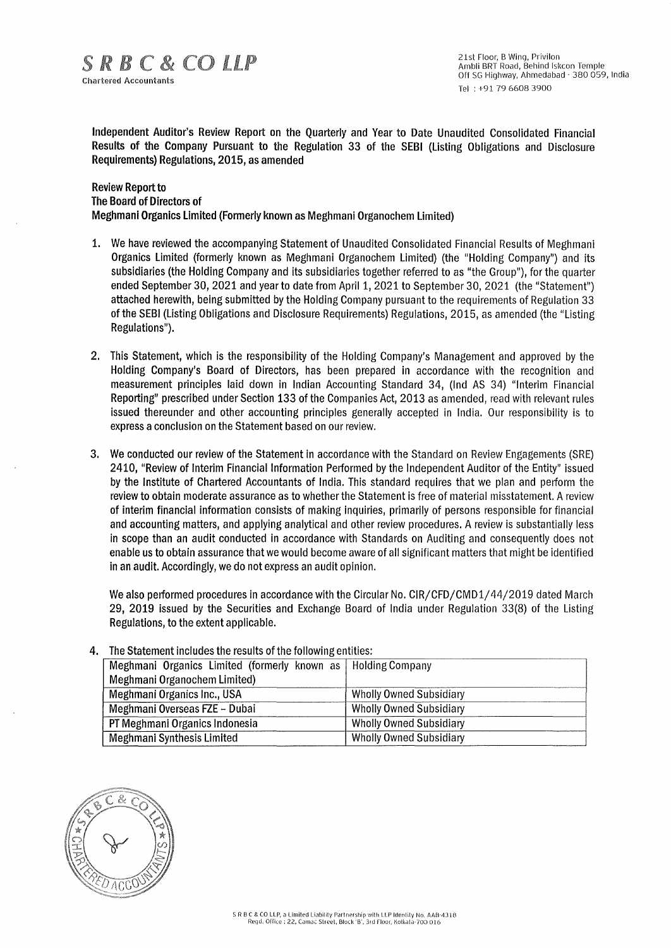Independent Auditor's Review Report on the Quarterly and Year to Date Unaudited Consolidated Financial Results of the Company Pursuant to the Regulation 33 of the SEBI (Listing Obligations and Disclosure Requirements) Regulations, 2015, as amended

### Review Report to The Board of Directors of Meghmani Organics Limited (Formerly known as Meghmani Organochem Limited)

- 1. We have reviewed the accompanying Statement of Unaudited Consolidated Financial Results of Meghmani Organics Limited (formerly known as Meghmani Organochem Limited) (the "Holding Company") and its subsidiaries (the Holding Company and its subsidiaries together referred to as "the Group"), for the quarter ended September 30, 2021 and year to date from April 1, 2021 to September 30, 2021 (the "Statement") attached herewith, being submitted by the Holding Company pursuant to the requirements of Regulation 33 of the SEBI (Listing Obligations and Disclosure Requirements) Regulations, 2015, as amended (the "Listing Regulations").
- 2. This Statement, which is the responsibility of the Holding Company's Management and approved by the Holding Company's Board of Directors, has been prepared in accordance with the recognition and measurement principles laid down in Indian Accounting Standard 34, (Ind AS 34) "Interim Financial Reporting" prescribed under Section 133 of the Companies Act, 2013 as amended, read with relevant rules issued thereunder and other accounting principles generally accepted in India. Our responsibility is to express a conclusion on the Statement based on our review.
- 3. We conducted our review of the Statement in accordance with the Standard on Review Engagements (SRE) 2410, "Review of Interim Financial Information Performed by the Independent Auditor of the Entity" issued by the Institute of Chartered Accountants of India. This standard requires that we plan and perform the review to obtain moderate assurance as to whether the Statement is free of material misstatement. A review of interim financial information consists of making inquiries, primarily of persons responsible for financial and accounting matters, and applying analytical and other review procedures. A review is substantially less in scope than an audit conducted in accordance with Standards on Auditing and consequently does not enable us to obtain assurance that we would become aware of all significant matters that might be identified in an audit. Accordingly, we do not express an audit opinion.

We also performed procedures in accordance with the Circular No. CIR/CFD/CMD1/44/2019 dated March 29, 2019 issued by the Securities and Exchange Board of India under Regulation 33(8) of the Listing Regulations, to the extent applicable.

| Meghmani Organics Limited (formerly known as   Holding Company |                                |  |  |  |  |
|----------------------------------------------------------------|--------------------------------|--|--|--|--|
| Meghmani Organochem Limited)                                   |                                |  |  |  |  |
| Meghmani Organics Inc., USA                                    | <b>Wholly Owned Subsidiary</b> |  |  |  |  |
| Meghmani Overseas FZE - Dubai                                  | <b>Wholly Owned Subsidiary</b> |  |  |  |  |
| PT Meghmani Organics Indonesia                                 | <b>Wholly Owned Subsidiary</b> |  |  |  |  |
| Meghmani Synthesis Limited                                     | <b>Wholly Owned Subsidiary</b> |  |  |  |  |

### The Statement includes the results of the following entities:

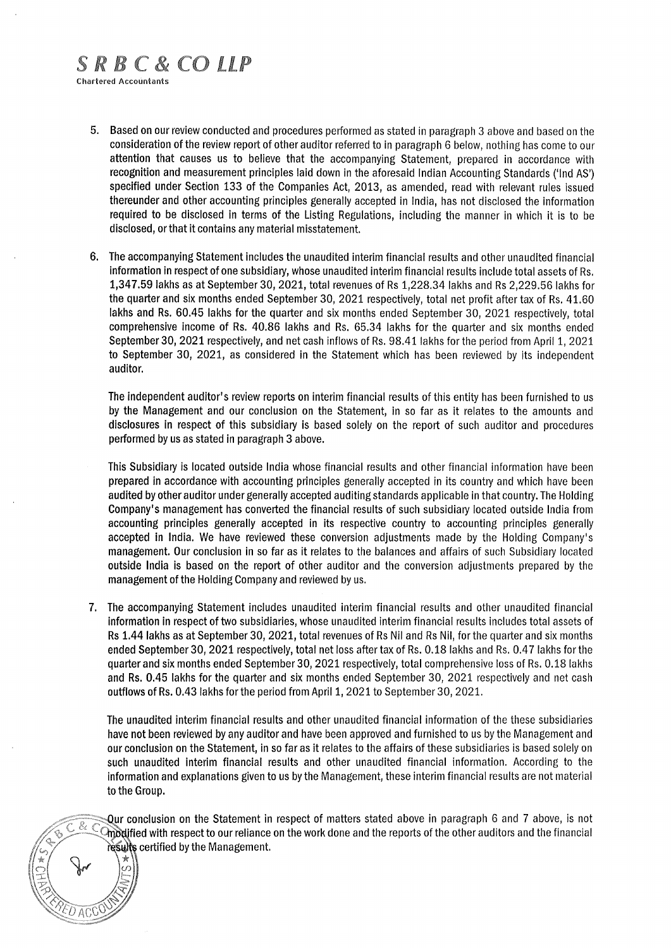# SRBC&COLLP

Chartered Accountants

- 5. Based on our review conducted and procedures performed as stated in paragraph 3 above and based on the consideration of the review report of other auditor referred to in paragraph 6 below, nothing has come to our attention that causes us to believe that the accompanying Statement, prepared in accordance with recognition and measurement principles laid down in the aforesaid Indian Accounting Standards ('Ind AS') specified under Section 133 of the Companies Act, 2013, as amended, read with relevant rules issued thereunder and other accounting principles generally accepted in India, has not disclosed the information required to be disclosed in terms of the Listing Regulations, including the manner in which it is to be disclosed, or that it contains any material misstatement.
- 6. The accompanying Statement includes the unaudited interim financial results and other unaudited financial information in respect of one subsidiary, whose unaudited interim financial results include total assets of Rs. 1,347.59 lakhs as at September 30, 2021, total revenues of Rs 1,228.34 lakhs and Rs 2,229.56 lakhs for the quarter and six months ended September 30, 2021 respectively, total net profit after tax of Rs. 41.60 lakhs and Rs. 60.45 lakhs for the quarter and six months ended September 30, 2021 respectively, total comprehensive income of Rs. 40.86 lakhs and Rs. 65.34 lakhs for the quarter and six months ended September 30, 2021 respectively, and net cash inflows of Rs. 98.41 lakhs for the period from April 1, 2021 to September 30, 2021, as considered in the Statement which has been reviewed by its independent auditor.

The independent auditor's review reports on interim financial results of this entity has been furnished to us by the Management and our conclusion on the Statement, in so far as it relates to the amounts and disclosures in respect of this subsidiary is based solely on the report of such auditor and procedures performed by us as stated in paragraph 3 above.

This Subsidiary is located outside India whose financial results and other financial information have been prepared in accordance with accounting principles generally accepted in its country and which have been audited by other auditor under generally accepted auditing standards applicable in that country. The Holding Company's management has converted the financial results of such subsidiary located outside India from accounting principles generally accepted in its respective country to accounting principles generally accepted in India. We have reviewed these conversion adjustments made by the Holding Company's management. Our conclusion in so far as it relates to the balances and affairs of such Subsidiary located outside India is based on the report of other auditor and the conversion adjustments prepared by the management of the Holding Company and reviewed by us.

7. The accompanying Statement includes unaudited interim financial results and other unaudited financial information in respect of two subsidiaries, whose unaudited interim financial results includes total assets of Rs 1.44 lakhs as at September 30, 2021, total revenues of Rs Nil and Rs Nil, for the quarter and six months ended September 30, 2021 respectively, total net loss after tax of Rs. 0.18 lakhs and Rs. 0.47 lakhs for the quarter and six months ended September 30, 2021 respectively, total comprehensive loss of Rs. 0.18 lakhs and Rs. 0.45 lakhs for the quarter and six months ended September 30, 2021 respectively and net cash outflows of Rs. 0.43 lakhs for the period from April 1, 2021 to September 30, 2021.

The unaudited interim financial results and other unaudited financial information of the these subsidiaries have not been reviewed by any auditor and have been approved and furnished to us by the Management and our conclusion on the Statement, in so far as it relates to the affairs of these subsidiaries is based solely on such unaudited interim financial results and other unaudited financial information. According to the information and explanations given to us by the Management, these interim financial results are not material to the Group.

Qur conclusion on the Statement in respect of matters stated above in paragraph 6 and 7 above, is not 'fied with respect to our reliance on the work done and the reports of the other auditors and the financial resures certified by the Management.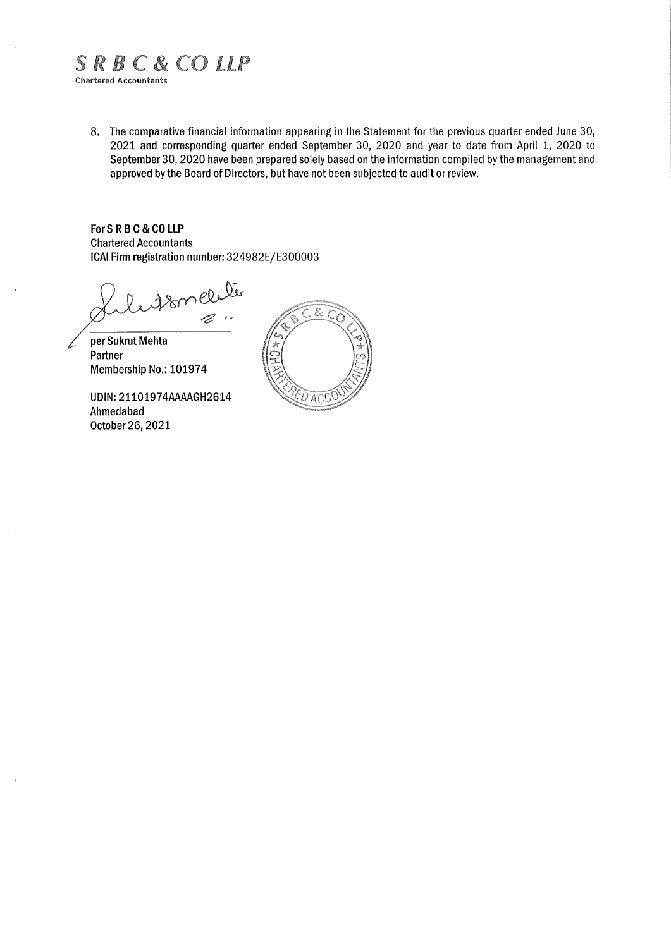# SRBC&COLLP

Chartered Accountants

8. The comparative financial information appearing in the Statement for the previous quarter ended June 30, 2021 and corresponding quarter ended September 30, 2020 and year to date from April 1, 2020 to September 30, 2020 have been prepared solely based on the information compiled by the management and approved by the Board of Directors, but have not been subjected to audit or review.

**For S R B C** & **CO LLP**  Chartered Accountants **ICAI Firm registration** number: 324982E/E300003

18melle  $\frac{1}{2}$ 

per Sukrut Mehta Partner Membership No.: 101974

UDIN: 21101974AAAAGH2614 Ahmedabad October 26, 2021

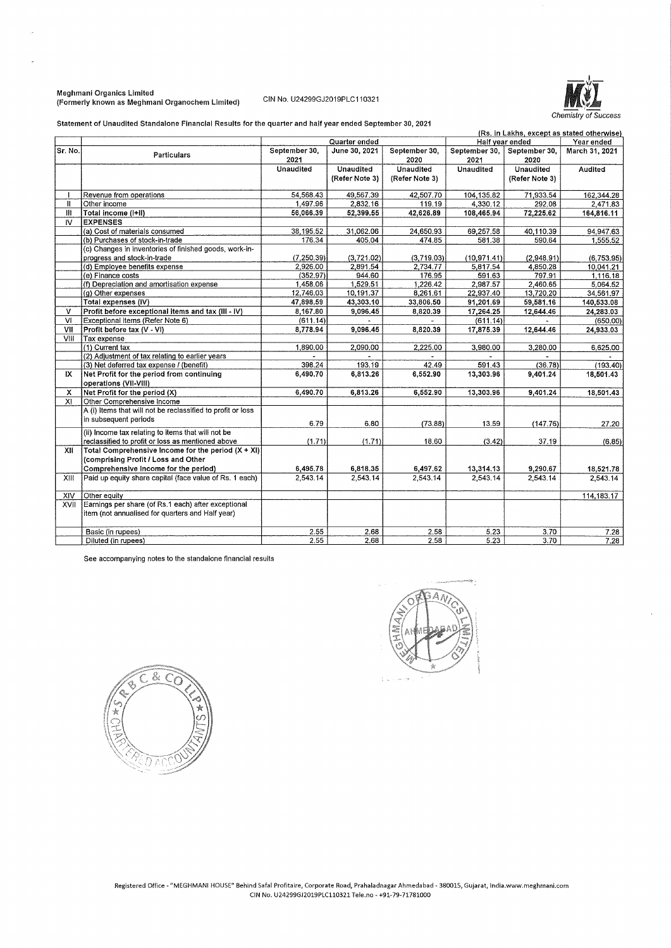### Meghmani Organics Limited (Formerly known as Meghmani Organochem Limited) CIN No. U24299GJ2019PLC110321



Statement of Unaudited Standalone Financial Results for the quarter and half year ended September 30, 2021

| (Rs. in Lakhs, except as stated otherwise) |                                                                                                                                     |                       |                  |                       |                       |                       |                |
|--------------------------------------------|-------------------------------------------------------------------------------------------------------------------------------------|-----------------------|------------------|-----------------------|-----------------------|-----------------------|----------------|
|                                            |                                                                                                                                     |                       | Quarter ended    |                       |                       | Half year ended       | Year ended     |
| Sr. No.                                    | Particulars                                                                                                                         | September 30,<br>2021 | June 30, 2021    | September 30,<br>2020 | September 30,<br>2021 | September 30,<br>2020 | March 31, 2021 |
|                                            |                                                                                                                                     | <b>Unaudited</b>      | <b>Unaudited</b> | <b>Unaudited</b>      | Unaudited             | Unaudited             | Audited        |
|                                            |                                                                                                                                     |                       | (Refer Note 3)   | (Refer Note 3)        |                       | (Refer Note 3)        |                |
|                                            | Revenue from operations                                                                                                             | 54,568.43             | 49,567.39        | 42,507.70             | 104,135.82            | 71,933.54             | 162, 344, 28   |
| $\mathbf{I}$                               | Other income                                                                                                                        | 1.497.96              | 2,832.16         | 119.19                | 4,330.12              | 292.08                | 2,471.83       |
| Ш                                          | Total income (I+II)                                                                                                                 | 56,066.39             | 52.399.55        | 42,626.89             | 108,465.94            | 72.225.62             | 164,816.11     |
| IV.                                        | <b>EXPENSES</b>                                                                                                                     |                       |                  |                       |                       |                       |                |
|                                            | (a) Cost of materials consumed                                                                                                      | 38,195.52             | 31,062.06        | 24,650.93             | 69,257.58             | 40,110.39             | 94,947.63      |
|                                            | (b) Purchases of stock-in-trade                                                                                                     | 176.34                | 405.04           | 474.85                | 581,38                | 590.64                | 1.555.52       |
|                                            | (c) Changes in inventories of finished goods, work-in-                                                                              |                       |                  |                       |                       |                       |                |
|                                            | progress and stock-in-trade                                                                                                         | (7, 250, 39)          | (3,721.02)       | (3,719.03)            | (10, 971.41)          | (2,948.91)            | (6.753.95)     |
|                                            | (d) Employee benefits expense                                                                                                       | 2.926.00              | 2.891.54         | 2.734.77              | 5,817.54              | 4.850.28              | 10.041.21      |
|                                            | (e) Finance costs                                                                                                                   | (352.97)              | 944.60           | 176.95                | 591.63                | 797.91                | 1.116.18       |
|                                            | (f) Depreciation and amortisation expense                                                                                           | 1.458.06              | 1.529.51         | 1.226.42              | 2.987.57              | 2.460.65              | 5,064.52       |
|                                            | (g) Other expenses                                                                                                                  | 12,746.03             | 10,191.37        | 8,261.61              | 22,937.40             | 13,720.20             | 34,561.97      |
|                                            | Total expenses (IV)                                                                                                                 | 47,898.59             | 43,303.10        | 33,806.50             | 91,201.69             | 59,581.16             | 140,533.08     |
| v                                          | Profit before exceptional items and tax (III - IV)                                                                                  | 8,167.80              | 9,096.45         | 8,820.39              | 17,264.25             | 12,644.46             | 24,283.03      |
| V <sub>1</sub>                             | Exceptional items (Refer Note 6)                                                                                                    | (611.14)              |                  |                       | (611.14)              |                       | (650,00)       |
| VII                                        | Profit before tax (V - VI)                                                                                                          | 8,778.94              | 9,096.45         | 8,820.39              | 17,875.39             | 12,644.46             | 24,933.03      |
| VIII                                       | Tax expense                                                                                                                         |                       |                  |                       |                       |                       |                |
|                                            | (1) Current tax                                                                                                                     | 1,890,00              | 2,090,00         | 2,225.00              | 3,980.00              | 3,280.00              | 6,625.00       |
|                                            | (2) Adjustment of tax relating to earlier years                                                                                     |                       |                  |                       |                       |                       |                |
|                                            | (3) Net deferred tax expense / (benefit)                                                                                            | 398.24                | 193.19           | 42.49                 | 591.43                | (36.78)               | (193.40)       |
| IX                                         | Net Profit for the period from continuing<br>operations (VII-VIII)                                                                  | 6.490.70              | 6,813.26         | 6,552.90              | 13,303.96             | 9,401.24              | 18,501.43      |
| x                                          | Net Profit for the period (X)                                                                                                       | 6,490.70              | 6,813.26         | 6,552.90              | 13,303.96             | 9,401.24              | 18,501.43      |
| XI                                         | Other Comprehensive Income                                                                                                          |                       |                  |                       |                       |                       |                |
|                                            | A (i) Items that will not be reclassified to profit or loss<br>in subsequent periods                                                | 6.79                  | 6,80             | (73.88)               | 13.59                 | (147.76)              | 27.20          |
|                                            | (ii) Income tax relating to items that will not be<br>reclassified to profit or loss as mentioned above                             | (1.71)                | (1.71)           | 18.60                 | (3.42)                | 37.19                 | (6.85)         |
| XII                                        | Total Comprehensive Income for the period $(X + XI)$<br>(comprising Profit / Loss and Other<br>Comprehensive Income for the period) | 6,495.78              | 6,818.35         | 6,497.62              | 13,314.13             | 9,290.67              | 18,521.78      |
| XIII                                       | Paid up equity share capital (face value of Rs. 1 each)                                                                             | 2,543.14              | 2.543.14         | 2.543.14              | 2,543.14              | 2,543.14              | 2,543.14       |
|                                            |                                                                                                                                     |                       |                  |                       |                       |                       |                |
| XIV                                        | Other equity                                                                                                                        |                       |                  |                       |                       |                       | 114, 183. 17   |
| XVII                                       | Earnings per share (of Rs.1 each) after exceptional<br>item (not annualised for quarters and Half year)                             |                       |                  |                       |                       |                       |                |
|                                            | Basic (in rupees)                                                                                                                   | 2.55                  | 2.68             | 2.58                  | 5.23                  | 3.70                  | 7.28           |
|                                            | Diluted (in rupees)                                                                                                                 | 2.55                  | 2.68             | 2.58                  | 5.23                  | 3.70                  | 7.28           |

See accompanying notes to the standalone financial results



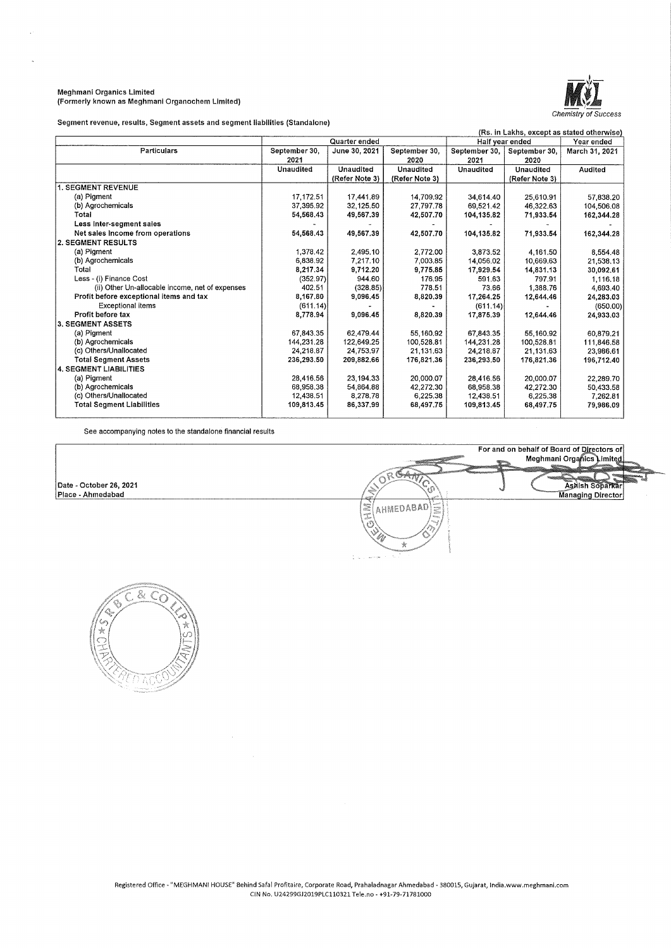#### Meghmani Organics Limited (Formerly known as Meghmani Organochem Limited)



<u> jang</u>

Askish Soparkar<br>Managing Director

Segment revenue, results, Segment assets and segment liabilities (Standalone)

| (Rs. in Lakhs, except as stated otherwise)      |               |                |                |                 |                |                |
|-------------------------------------------------|---------------|----------------|----------------|-----------------|----------------|----------------|
|                                                 |               | Quarter ended  |                | Half year ended |                | Year ended     |
| Particulars                                     | September 30, | June 30, 2021  | September 30.  | September 30,   | September 30,  | March 31, 2021 |
|                                                 | 2021          |                | 2020           | 2021            | 2020           |                |
|                                                 | Unaudited     | Unaudited      | Unaudited      | Unaudited       | Unaudited      | Audited        |
|                                                 |               | (Refer Note 3) | (Refer Note 3) |                 | (Refer Note 3) |                |
| <b>1. SEGMENT REVENUE</b>                       |               |                |                |                 |                |                |
| (a) Pigment                                     | 17.172.51     | 17.441.89      | 14.709.92      | 34,614.40       | 25,610.91      | 57,838.20      |
| (b) Agrochemicals                               | 37,395.92     | 32,125.50      | 27,797.78      | 69,521.42       | 46,322.63      | 104,506.08     |
| Total                                           | 54,568.43     | 49,567.39      | 42,507.70      | 104,135.82      | 71,933.54      | 162,344.28     |
| Less inter-segment sales                        |               |                |                |                 |                |                |
| Net sales Income from operations                | 54,568.43     | 49,567.39      | 42,507.70      | 104,135.82      | 71,933.54      | 162,344.28     |
| 2. SEGMENT RESULTS                              |               |                |                |                 |                |                |
| (a) Pigment                                     | 1,378.42      | 2,495.10       | 2,772.00       | 3,873.52        | 4.161.50       | 8,554.48       |
| (b) Agrochemicals                               | 6.838.92      | 7,217.10       | 7,003.85       | 14,056.02       | 10,669.63      | 21,538.13      |
| Total                                           | 8,217.34      | 9,712.20       | 9,775.85       | 17,929.54       | 14,831.13      | 30,092.61      |
| Less - (i) Finance Cost                         | (352.97)      | 944.60         | 176.95         | 591.63          | 797.91         | 1.116.18       |
| (ii) Other Un-allocable income, net of expenses | 402.51        | (328.85)       | 778.51         | 73.66           | 1,388.76       | 4,693.40       |
| Profit before exceptional items and tax         | 8,167.80      | 9,096.45       | 8,820.39       | 17,264.25       | 12,644.46      | 24,283.03      |
| <b>Exceptional items</b>                        | (611.14)      |                |                | (611.14)        |                | (650.00)       |
| Profit before tax                               | 8,778.94      | 9,096.45       | 8,820.39       | 17,875,39       | 12,644.46      | 24,933.03      |
| <b>3. SEGMENT ASSETS</b>                        |               |                |                |                 |                |                |
| (a) Pigment                                     | 67.843.35     | 62.479.44      | 55,160.92      | 67,843.35       | 55,160.92      | 60,879.21      |
| (b) Agrochemicals                               | 144.231.28    | 122,649.25     | 100.528.81     | 144.231.28      | 100.528.81     | 111,846.58     |
| (c) Others/Unallocated                          | 24,218.87     | 24,753.97      | 21,131.63      | 24.218.87       | 21,131.63      | 23,986.61      |
| <b>Total Segment Assets</b>                     | 236,293.50    | 209,882.66     | 176,821.36     | 236,293,50      | 176,821.36     | 196,712.40     |
| <b>4. SEGMENT LIABILITIES</b>                   |               |                |                |                 |                |                |
| (a) Pigment                                     | 28,416.56     | 23,194.33      | 20,000.07      | 28.416.56       | 20,000,07      | 22.289.70      |
| (b) Agrochemicals                               | 68.958.38     | 54.864.88      | 42,272.30      | 68,958.38       | 42,272.30      | 50,433.58      |
| (c) Others/Unallocated                          | 12,438.51     | 8,278.78       | 6,225.38       | 12,438.51       | 6,225,38       | 7.262.81       |
| <b>Total Segment Liabilities</b>                | 109,813.45    | 86,337.99      | 68,497.75      | 109,813.45      | 68,497.75      | 79,986.09      |
|                                                 |               |                |                |                 |                |                |

See accompanying notes to the standalone financial results

Date • October 26, 2021 Place • Ahmedabad



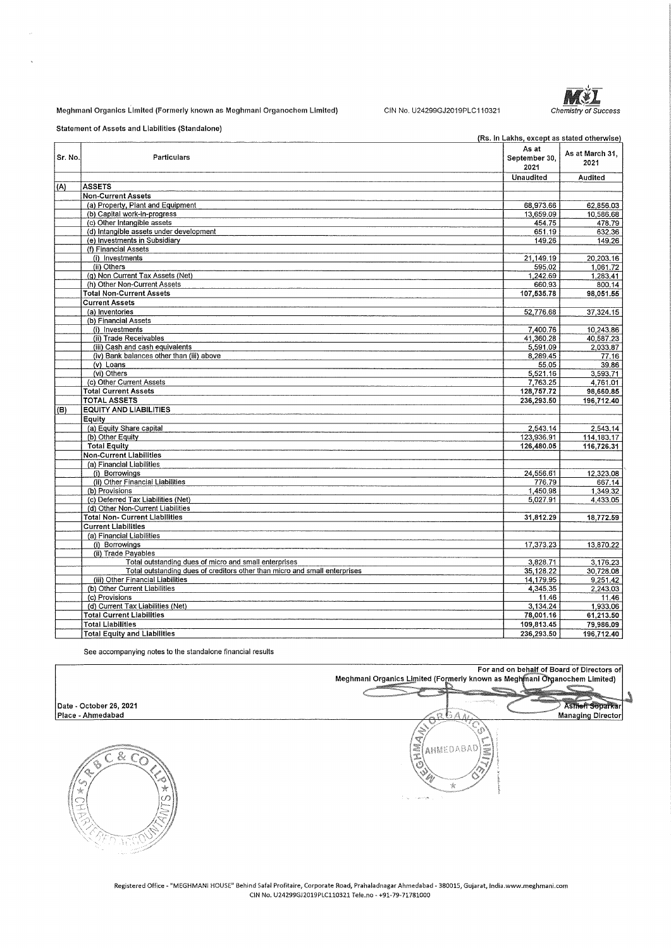### Meghmani Organics Limited (Formerly known as Meghmani Organochem Limited)

CIN No. U24299GJ2019PLC110321 Chemistry of Success



Statement of Assets and Liabilities (Standalone)

|         |                                                                            | (Rs. in Lakhs, except as stated otherwise) |                         |
|---------|----------------------------------------------------------------------------|--------------------------------------------|-------------------------|
| Sr. No. | Particulars                                                                | As at<br>September 30.<br>2021             | As at March 31.<br>2021 |
|         |                                                                            | Unaudited                                  | Audited                 |
| (A)     | <b>ASSETS</b>                                                              |                                            |                         |
|         | <b>Non-Current Assets</b>                                                  |                                            |                         |
|         | (a) Property, Plant and Equipment                                          | 68,973.66                                  | 62.856.03               |
|         | (b) Capital work-in-progress                                               | 13,659.09                                  | 10,586.68               |
|         | (c) Other Intangible assets                                                | 454.75                                     | 478.79                  |
|         | (d) Intangible assets under development                                    | 651.19                                     | 632.36                  |
|         | (e) Investments in Subsidiary                                              | 149.26                                     | 149.26                  |
|         | (f) Financial Assets                                                       |                                            |                         |
|         | (i) Investments                                                            | 21,149.19                                  | 20,203.16               |
|         | (ii) Others                                                                | 595.02                                     | 1,061.72                |
|         | (g) Non Current Tax Assets (Net)                                           | 1,242.69                                   | 1,283.41                |
|         | (h) Other Non-Current Assets                                               | 660,93                                     | 800.14                  |
|         | <b>Total Non-Current Assets</b>                                            | 107,535.78                                 | 98,051.55               |
|         | <b>Current Assets</b>                                                      |                                            |                         |
|         | (a) Inventories                                                            | 52,776.68                                  | 37,324.15               |
|         | (b) Financial Assets                                                       |                                            |                         |
|         | (i) Investments                                                            | 7,400.76                                   | 10,243.86               |
|         | (ii) Trade Receivables                                                     | 41.360.28                                  | 40,587.23               |
|         | (iii) Cash and cash equivalents                                            | 5,591.09                                   | 2,033.87                |
|         | (iv) Bank balances other than (iii) above                                  | 8,289.45                                   | 77.16                   |
|         | (v) Loans                                                                  | 55.05                                      | 39.86                   |
|         | (vi) Others                                                                | 5,521.16                                   | 3,593.71                |
|         | (c) Other Current Assets                                                   | 7,763.25                                   | 4.761.01                |
|         | <b>Total Current Assets</b>                                                | 128,757.72                                 | 98,660.85               |
|         | <b>TOTAL ASSETS</b>                                                        | 236,293.50                                 | 196,712.40              |
| (B)     | <b>EQUITY AND LIABILITIES</b>                                              |                                            |                         |
|         | Equity                                                                     |                                            |                         |
|         | (a) Equity Share capital                                                   | 2,543.14                                   | 2,543.14                |
|         | (b) Other Equity                                                           | 123,936.91                                 | 114,183.17              |
|         | <b>Total Equity</b>                                                        | 126,480.05                                 | 116,726.31              |
|         | Non-Current Liabilities                                                    |                                            |                         |
|         | (a) Financial Liabilities                                                  |                                            |                         |
|         | (i) Borrowings                                                             | 24,556.61                                  | 12,323.08               |
|         | (ii) Other Financial Liabilities                                           | 776.79                                     | 667.14                  |
|         | (b) Provisions                                                             | 1,450.98                                   | 1,349.32                |
|         | (c) Deferred Tax Liabilities (Net)                                         | 5.027.91                                   | 4.433.05                |
|         | (d) Other Non-Current Liabilities                                          |                                            |                         |
|         | <b>Total Non- Current Liabilities</b>                                      | 31,812.29                                  | 18,772.59               |
|         | <b>Current Liabilities</b>                                                 |                                            |                         |
|         | (a) Financial Liabilities                                                  |                                            |                         |
|         | (i) Borrowings                                                             | 17,373.23                                  | 13,870.22               |
|         | (ii) Trade Payables                                                        |                                            |                         |
|         | Total outstanding dues of micro and small enterprises                      | 3,828.71                                   | 3,176.23                |
|         | Total outstanding dues of creditors other than micro and small enterprises | 35, 128.22                                 | 30,728.08               |
|         | (iii) Other Financial Liabilities                                          | 14,179.95                                  | 9,251.42                |
|         | (b) Other Current Liabilities                                              | 4,345.35                                   | 2,243.03                |
|         | (c) Provisions                                                             | 11.46                                      | 11.46                   |
|         | (d) Current Tax Liabilities (Net)                                          | 3,134.24                                   | 1,933.06                |
|         | <b>Total Current Liabilities</b>                                           | 78,001.16                                  | 61,213.50               |
|         | <b>Total Liabilities</b>                                                   | 109,813.45                                 | 79,986.09               |
|         | <b>Total Equity and Liabilities</b>                                        | 236,293.50                                 | 196,712.40              |
|         |                                                                            |                                            |                         |

See accompanying notes to the standalone financial results

For and on behalf of Board of Directors of<br>Meghmani Organics Limited (Formerly known as Meghmani Organochem Limited) 愛

Å ĨQ. A Ő AHMEDABAD ġ

A)

Ashien Soparka Managing Director



**Date** . **October 26, 2021 Place** . **Ahmadabad** 

> **Registered Office - <sup>11</sup> MEGHMANI HOUSf' Behind Safal Profitaire, Corporate Road, Prahaladnagar Ahmedabad - 380015, Gujarat, lndia.www.meghmani.com**  CIN No. U24299GJ2019PLC110321 Tele.no - +91-79-71781000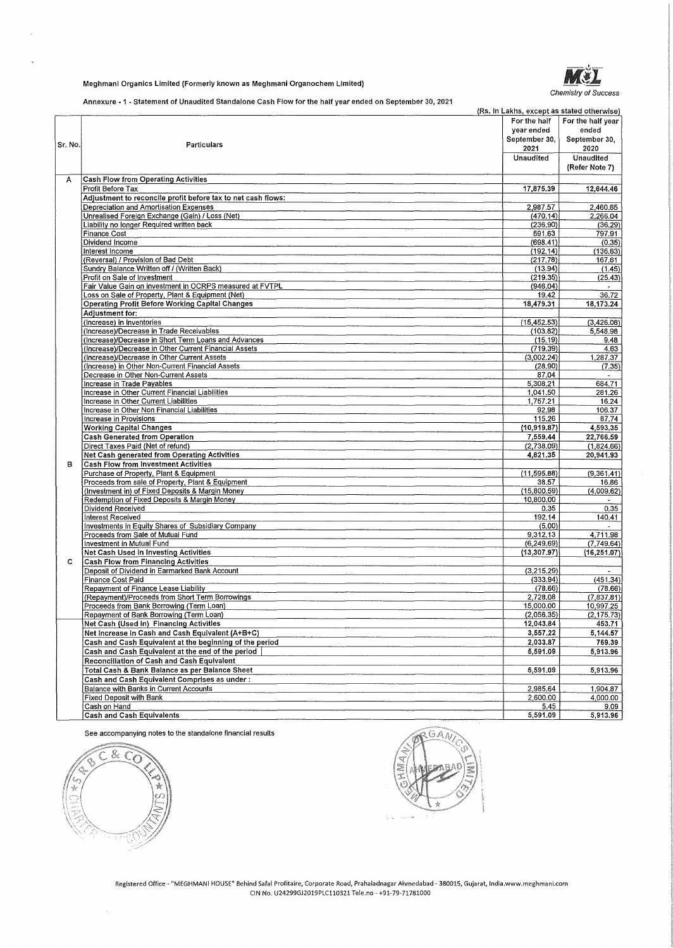

### Meghmanl Organics Limited (Formerly known as Meghmani Organochem Limited)

Annexure - 1 - Statement of Unaudited Standalone Cash Flow for the half year ended on September 30, 2021

|         | Annexure - T - Statement of Unaughed Standardile Cash Flow for the half year ended on September 30, 2021 | (Rs. in Lakhs, except as stated otherwise)<br>For the half<br>year ended | For the half year<br>ended |
|---------|----------------------------------------------------------------------------------------------------------|--------------------------------------------------------------------------|----------------------------|
| Sr. No. | Particulars                                                                                              | September 30,<br>2021                                                    | September 30,<br>2020      |
|         |                                                                                                          | Unaudited                                                                | Unaudited                  |
|         |                                                                                                          |                                                                          | (Refer Note 7)             |
| Α       | <b>Cash Flow from Operating Activities</b>                                                               |                                                                          |                            |
|         | Profit Before Tax                                                                                        | 17,875.39                                                                | 12,644.46                  |
|         | Adjustment to reconcile profit before tax to net cash flows:<br>Depreciation and Amortisation Expenses   | 2,987.57                                                                 | 2,460.65                   |
|         | Unrealised Foreign Exchange (Gain) / Loss (Net)                                                          | (470.14)                                                                 | 2,266.04                   |
|         | Liability no longer Required written back                                                                | (236, 90)                                                                | (36.29)                    |
|         | <b>Finance Cost</b>                                                                                      | 591.63                                                                   | 797.91                     |
|         | Dividend Income                                                                                          | (698, 41)                                                                | (0.35)                     |
|         | Interest Income<br>(Reversal) / Provision of Bad Debt                                                    | (192.14)<br>(217.78)                                                     | (136.63)<br>167.61         |
|         | Sundry Balance Written off / (Written Back)                                                              | (13.94)                                                                  | (1.45)                     |
|         | Profit on Sale of Investment                                                                             | (219.35)                                                                 | (25.43)                    |
|         | Fair Value Gain on investment in OCRPS measured at FVTPL                                                 | (946.04)                                                                 |                            |
|         | Loss on Sale of Property, Plant & Equipment (Net)                                                        | 19.42                                                                    | 36.72                      |
|         | <b>Operating Profit Before Working Capital Changes</b><br>Adjustment for:                                | 18,479.31                                                                | 18,173.24                  |
|         | (Increase) in Inventories                                                                                | (15, 452.53)                                                             | (3,426.08)                 |
|         | (Increase)/Decrease in Trade Receivables                                                                 | (103.82)                                                                 | 5,548.98                   |
|         | (Increase)/Decrease in Short Term Loans and Advances                                                     | (15.19)                                                                  | 9,48                       |
|         | (Increase)/Decrease in Other Current Financial Assets                                                    | (719.39)                                                                 | 4.63                       |
|         | (Increase)/Decrease in Other Current Assets                                                              | (3,002.24)                                                               | 1,287.37                   |
|         | (Increase) in Other Non-Current Financial Assets<br>Decrease in Other Non-Current Assets                 | (28.90)<br>87.04                                                         | (7.35)<br>$\sim$           |
|         | Increase in Trade Payables                                                                               | 5,308.21                                                                 | 684.71                     |
|         | Increase in Other Current Financial Liabilities                                                          | 1,041.50                                                                 | 281.26                     |
|         | Increase in Other Current Liabilities                                                                    | 1,757.21                                                                 | 16.24                      |
|         | Increase in Other Non Financial Liabilities                                                              | 92.98                                                                    | 106.37                     |
|         | Increase in Provisions<br><b>Working Capital Changes</b>                                                 | 115,26<br>(10, 919.87)                                                   | 87.74<br>4,593.35          |
|         | <b>Cash Generated from Operation</b>                                                                     | 7,559.44                                                                 | 22,766.59                  |
|         | Direct Taxes Paid (Net of refund)                                                                        | (2,738.09)                                                               | (1,824.66)                 |
|         | Net Cash generated from Operating Activities                                                             | 4,821.35                                                                 | 20,941.93                  |
| в       | <b>Cash Flow from Investment Activities</b>                                                              |                                                                          |                            |
|         | Purchase of Property, Plant & Equipment                                                                  | (11, 595.88)                                                             | (9,361.41)                 |
|         | Proceeds from sale of Property, Plant & Equipment                                                        | 38.57                                                                    | 16.86                      |
|         | (Investment in) of Fixed Deposits & Margin Money<br>Redemption of Fixed Deposits & Margin Money          | (15,800.59)<br>10,800.00                                                 | (4,009.62)                 |
|         | Dividend Received                                                                                        | 0.35                                                                     | 0,35                       |
|         | Interest Received                                                                                        | 192.14                                                                   | 140.41                     |
|         | Investments in Equity Shares of Subsidiary Company                                                       | (5.00)                                                                   |                            |
|         | Proceeds from Sale of Mutual Fund<br>Investment in Mutual Fund                                           | 9,312.13<br>(6, 249.69)                                                  | 4,711.98<br>(7.749.64)     |
|         | Net Cash Used in Investing Activities                                                                    | (13, 307.97)                                                             | (16, 251.07)               |
| c.      | Cash Flow from Financing Activities                                                                      |                                                                          |                            |
|         | Deposit of Dividend in Earmarked Bank Account                                                            | (3,215.29)                                                               |                            |
|         | Finance Cost Paid                                                                                        | (333.94)                                                                 | (451.34)                   |
|         | Repayment of Finance Lease Liability                                                                     | (78.66)                                                                  | (78.66)                    |
|         | (Repayment)/Proceeds from Short Term Borrowings                                                          | 2,728.08                                                                 | (7,837.81)                 |
|         | Proceeds from Bank Borrowing (Term Loan)<br>Repayment of Bank Borrowing (Term Loan)                      | 15,000.00<br>(2,056,35)                                                  | 10,997.25<br>(2, 175.73)   |
|         | Net Cash (Used in) Financing Activities                                                                  | 12,043.84                                                                | 453.71                     |
|         | Net Increase in Cash and Cash Equivalent (A+B+C)                                                         | 3,557.22                                                                 | $\overline{5,144.57}$      |
|         | Cash and Cash Equivalent at the beginning of the period                                                  | 2,033.87                                                                 | 769.39                     |
|         | Cash and Cash Equivalent at the end of the period                                                        | 5,591.09                                                                 | 5,913.96                   |
|         | Reconciliation of Cash and Cash Equivalent                                                               |                                                                          |                            |
|         | Total Cash & Bank Balance as per Balance Sheet                                                           | 5,591.09                                                                 | 5,913.96                   |
|         | Cash and Cash Equivalent Comprises as under:                                                             |                                                                          |                            |
|         | Balance with Banks in Current Accounts<br><b>Fixed Deposit with Bank</b>                                 | 2,985.64<br>2,600.00                                                     | 1,904.87<br>4,000.00       |
|         | Cash on Hand                                                                                             | 5.45                                                                     | 9.09                       |
|         | Cash and Cash Equivalents                                                                                | 5,591.09                                                                 | 5,913.96                   |

See accompanying notes to the standalone financial results



G

**Registered Office - "MEGHMANI HOUSE" Behind Safa! Profitaire, Corporate Road, Prahaladnagar Ahmedabad - 380015, Gujarat, lndia.www.meghmani.com**  CIN No. U24299GJ2019PLC110321 Tele.no - +91-79-71781000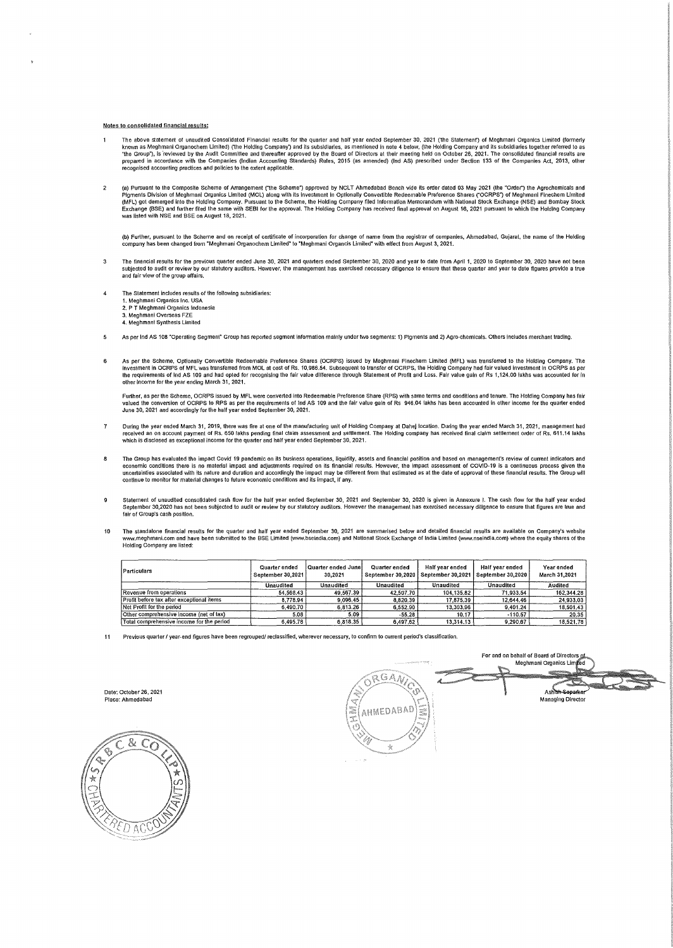#### Notes to consolidated financial results:

- The above statement of unaudited Consolidated Financial results for the quarter and half year ended September 30, 2021 (the Statement) of Meghmani Organics Limited (formerly<br>known as Meghmani Organochern Limited) (the Hold recognised accounting practices and policies to the extent appllcable.
- $\overline{2}$ (a) Pursuant to the Composite Scheme of Arrangement ("the Scheme") approved by NCLT Ahmedabad Bench vide its order dated 03 May 2021 (the "Order") the Agrochemicals and<br>Pigments Division of Meghmani Organics Limited (MCU) was listed with NSE and SSE on August 18, 2021.

(b) Further, pursuant to the Scheme and on receipt of certificate of incorporation for change of name from the registrar of companies, Ahmedabad, Gujarat, the name of the Holding<br>company has been changed from "Meghmani Org

- $\mathbf{3}$ The financial resuits for the previous quarter ended June 30, 2021 and quarters ended September 30, 2020 as ended to make the metable 30, 2020 have not been the search of the search of the search of the search of the searc
- $\overline{4}$ The Statement includes results of the following subsidiaries: 1. Meghmani Organics Inc. USA 2. PT Meghmani Organics Indonesia 3. Meghmani Overseas FZE 4. Meghmani Synthesis Limited
- $\overline{\mathbf{5}}$ As per Ind AS 108 "Operating Segment" Group has reported segment information mainly under two segments: 1) Pigments and 2) Agro-chemicals. Others includes merchant trading.
- $\ddot{\bf{6}}$ As per the Scheme, Optionally Convertible Redeemable Preference Shares (OCRPS) issued by Meghmani Finechem Limited (MFL) was transferred to the Holding Company. The<br>investment in OCRPS of MFL was transferred from MOL at co lhe requirements of Ind AS 109 and had opted for recognising the fair value difference through Statement of Profit and loss. Fair value gain of Rs 1,124.00 lakhs was accounted for in other income for the year ending March 31, 2021.

Further, as per the Scheme, OCRPS issued by MFL were converted into Redeemable Preference Share (RPS) with same terms and conditions and tenure. The Holding Company has fair<br>valued the conversion of OCRPS to RPS as per the June 30, 2021 and accordingly for the half year ended September 30, 2021.

- $\mathbf{7}$ During the year ended March 31, 2019, there was fire at one of the manufacturing unit of Holding Company at Dahej location. During the year ended March 31, 2021, management had<br>received an on account payment of Rs. 650 lak
- $\overline{\mathbf{8}}$ The Group has evaluated the impact Covid 19 pandemic on its business operations, liquidity, assets and financial position and based on management's review of current indicators and<br>economic conditions there is no material continue to monitor for material changes to future economic conditions and its impact, if any.
- Statement of unaudited consolidated cash flow for the half year ended September 30, 2021 and September 30, 2020 is given in Annexure I. The cash flow for the half year ended  $\mathbf{g}$ September 30,2020 has not been subjected to audit or review by our statutory auditors. However the management has exercised necessary diligence to ensure that figures are true and fair of Group's cash position.
- The standalone financial results for the quarter and half year ended September 30, 2021 are summarised below and detailed financial results are available on Company's website<br>www.meghmani.com and have been submitted to the Holding Company are listed:

| Particulars                               | Quarter ended<br>September 30,2021 | Quarter ended Junel<br>30,2021 | Quarter ended<br>September 30,2020 | Half year ended<br>September 30.2021 | Half year ended<br>September 30,2020 | Year ended<br>March 31,2021 |
|-------------------------------------------|------------------------------------|--------------------------------|------------------------------------|--------------------------------------|--------------------------------------|-----------------------------|
|                                           | <b>Unaudited</b>                   | Unaudited                      | Unaudited                          | Unaudited                            | <b>Unaudited</b>                     | Audited                     |
| Revenue from operations                   | 54.568.43                          | 49.567.39                      | 42.507.70                          | 104.135.82                           | 71.933.54                            | 162.344.28                  |
| Profit before tax after exceptional items | 8.778.94                           | 9.096.45                       | 8,820,39                           | 17.875.39                            | 12.644.46                            | 24,933,03                   |
| Net Profit for the period                 | 6.490.70                           | 6,813.26                       | 6,552,90                           | 13,303,96                            | 9,401.24                             | 18,501.43                   |
| Other comprehensive income (net of tax)   | 5.08                               | 5.09                           | $-55.28$                           | 10.17                                | $-110.57$                            | 20.35                       |
| Total comprehensive income for the period | 6.495.78                           | 6.818.35                       | 6,497.62                           | 13.314.13                            | 9.290.67                             | 18,521.78                   |

11 Previous quarter *I* year-end figures have been regrouped/ reclassified, wherever necessary, to confirm to current period's classification.

Date: October 26, 2021 Place: Ahmedabad



For and on behalf of Board of Directors Meghmani Organics Limi ORGAN **Managing Director**<br>Managing Director AHMEDABAD  $\frac{1000}{1000}$  $\mathcal{A}_i$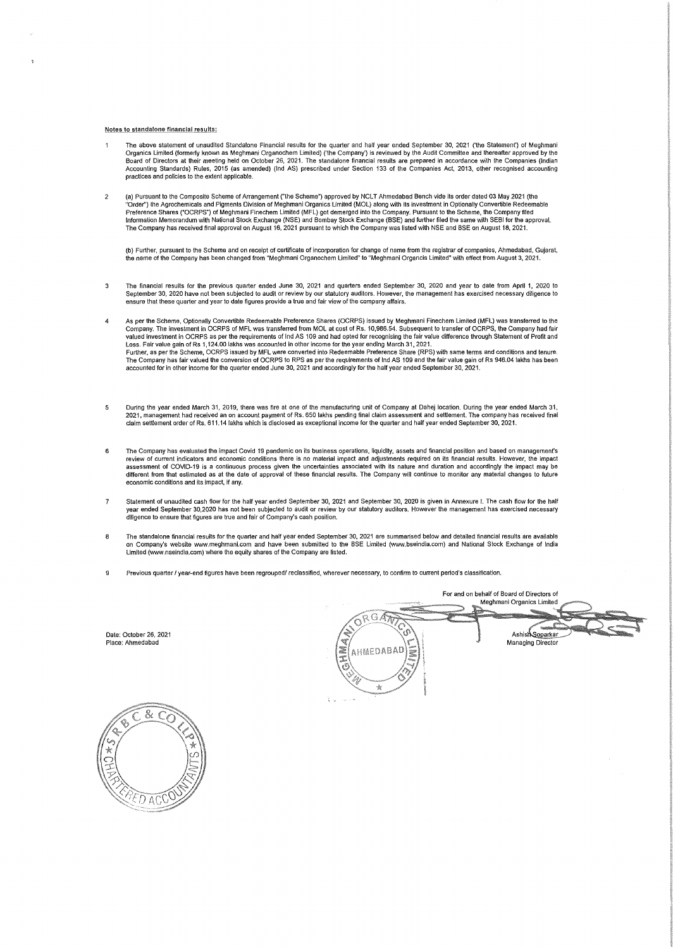#### **Notes to standalone financial results:**

- The above statement of unaudited Standalone Financial results for the quarter and half year ended September 30, 2021 ('the Statement') of Meghmani Organics Limited (formerly known as Meghmani Organochem Limited) ('the Company') is reviewed by the Audit Committee and thereafter approved by the<br>Board of Directors at their meeting held on October 26, 2021. The standalon Accounting Standards) Rules, 2015 (as amended) (Ind AS) prescribed under Section 133 of the Companies Act, 2013, other recognised accounting **practices and policies to the extent applicable.**
- a) Pursuant to the Composite Scheme of Arrangement ("the Scheme") approved by NCLT Ahmedabad Bench vide its order dated 03 May 2021 (the كInte absorter alter of May 2021 (the "Order") in Agrochemicals and Pigments Division Preference Shares ("OCRPS") of Meghmani Finechem Limited (MFL) got demerged into the Company. Pursuant to the Scheme, the Company filed<br>Information Memorandum with National Stock Exchange (NSE) and Bombay Stock Exchange (B The Company has received final approval on August 16, 2021 pursuant to which the Company was listed with NSE and BSE on August 18, 2021.

(b) Further, pursuant to the Scheme and on receipt of certificate of incorporation for change of name from the registrar of companies, Ahmedabad, Gujarat,<br>the name of the Company has been changed from "Meghmani Organochem

- 3 The financial results for the previous quarter ended June 30, 2021 and quarters ended September 30, 2020 and year to date from April 1, 2020 to September 30, 2020 have not been subjected to audit or review by our statutory auditors. However, the management has exercised necessary diligence to<br>ensure that these quarter and year to date figures provide a true and fa
- As per the Scheme, Optionally Convertible Redeemable Preference Shares (OCRPS) issued by Meghmani Finechem Limited (MFL) was transferred to the<br>Company. The investment in OCRPS of MFL was transferred from MOL at cost of Rs Loss. Fair value gain of Rs 1,124.00 lakhs was accounted in other income for the year ending March 31, 2021.<br>Further, as per the Scheme, OCRPS issued by MFL were converted into Redeemable Preference Share (RPS) with same t The Company has fair valued the conversion of OCRPS to RPS as per the requirements of Ind AS 109 and the fair value gain of Rs 946.04 lakhs has been<br>accounted for in other income for the quarter ended June 30, 2021 and acc
- , 13 During the year ended March 31, 2019, there was fire at one of the manufacturing unit of Company at Dahej location. During the year ended March 31<br>2021, management had received an on account payment of Rs. 650 lakhs p **claim settlement order of Rs. 611. 14 lakhs which ls disclosed as exceptional income for the quarter and half year ended September 30, 2021,**
- **6 The Company has evaluated the impact Covid 19 pandemic on its business operations, liquidity, assets and financial position and based on management's review of current indicators and economic conditions there is no material impact and adjustments required on its financial results. However, the impact assessment of COVID-19 is a continuous process given the uncertainties associated with its nature and duration and accordingly the impact may be different from that estimated as at the date of approval of these financial results. The Company will continue to monitor any material changes to future economic conditions and its impact, if any.**
- 7 Statement of unaudited cash flow for the half year ended September 30, 2021 and September 30, 2020 is given in Annexure I. The cash flow for the half **year ended September 30,2020 has not been subjected to audit or review by our statutory auditors. However the management has exercised necessary diligence to ensure that figures are true and fair of Company's cash position.**
- The standalone financial results for the quarter and half year ended September 30, 2021 are summarised below and detailed financial results are available<br>on Company's website www.meghmani.com and have been submitted to th **Limited {www.nseindia.com) where the equity shares of the Company are listed.**
- **9 Previous quarter/ year-end figures have been regrouped/ reclassified, wherever necessary, to confinn to current period's classification.**

Date: October 26, 2021 Place: Ahmedabad

 $G\sqrt{n}$ Ashish Soparkar Managing Director AHMEDABAD  $\mathcal{A}_2$ 



**For and on behalf of Board of Directors of** Meghmani Organics Limited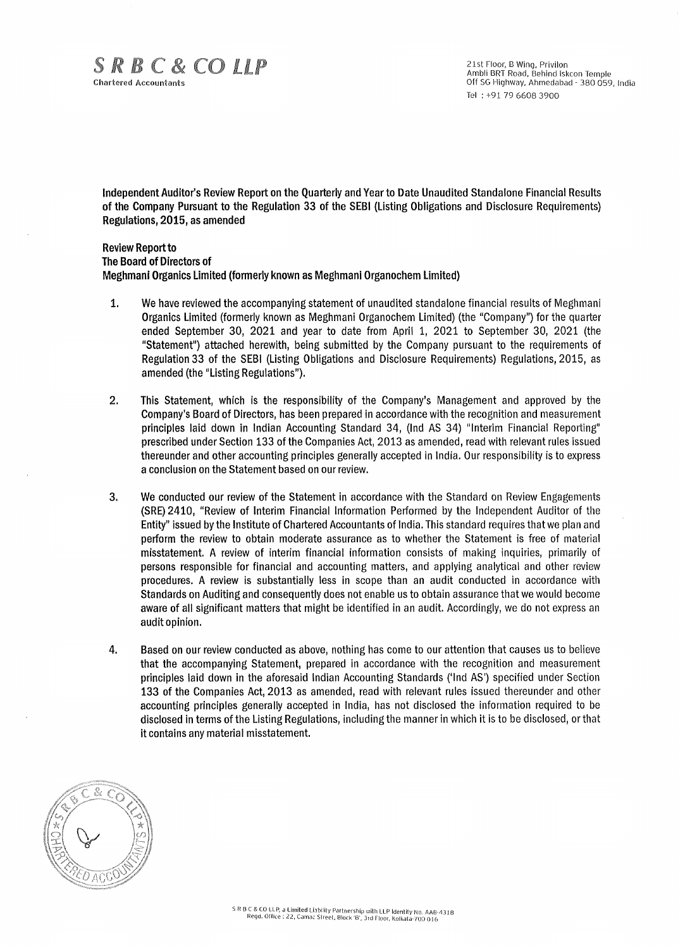21st Floor, B Wing, Privilon Ambli BRT Road, Behind lskcon Temple Off SG Highway, Ahmedabad - 380 059, India Tel : +91 79 6608 3900

**Independent Auditor's Review Report on the Quarterly and Year to Date Unaudited Standalone Financial Results of the Company Pursuant to the Regulation 33 of the SEBI (Listing Obligations and Disclosure Requirements) Regulations, 2015, as amended** 

**Review Report to The Board of Directors of Meghmani Organics Limited (formerly known as Meghmani Organochem Limited)** 

- **1. We have reviewed the accompanying statement** of unaudited standalone financial results of Meghmani **Organics Limited** (formerly **known as** Meghmani Organochem Limited) (the "Company") for the quarter **ended September 30, 2021 and** year to date from April 1, 2021 to September 30, 2021 (the **"Statement") attached herewith,** being submitted by the Company pursuant to the requirements of **Regulation 33 of** the **SEBI (Listing** Obligations and Disclosure Requirements) Regulations, 2015, as **amended (the "Listing Regulations").**
- **2. This Statement, which is the responsibility** of the **Company's** Management and approved by the **Company's Board of Directors, has** been prepared **in** accordance with the recognition and measurement **principles laid down in Indian** Accounting Standard 34, (Ind AS 34) "Interim Financial Reporting" **prescribed** under **Section 133 of** the Companies Act, 2013 as amended, read with relevant rules issued **thereunder and other** accounting **principles** generally accepted in India. Our responsibility is to express **a conclusion on the Statement based on** our **review.**
- 3. We conducted our review of the Statement in accordance with the Standard on Review Engagements (SRE) 2410, "Review of Interim Financial Information Performed by the Independent Auditor of the Entity" issued by the Institute of Chartered Accountants of India. This standard requires that we plan and perform the review to obtain moderate assurance as to whether the Statement is free of material misstatement. A review of interim financial information consists of making inquiries, primarily of persons responsible for financial and accounting matters, and applying analytical and other review procedures. A review is substantially less in scope than an audit conducted in accordance with Standards on Auditing and consequently does not enable us to obtain assurance that we would become aware of all significant matters that might be identified in an audit. Accordingly, we do not express an audit opinion.
- 4. Based on our review conducted as above, nothing has come to our attention that causes us to believe that the accompanying Statement, prepared in accordance with the recognition and measurement principles laid down in the aforesaid Indian Accounting Standards ('Ind AS') specified under Section 133 of the Companies Act, 2013 as amended, read with relevant rules issued thereunder and other accounting principles generally accepted in India, has not disclosed the information required to be disclosed in terms of the Listing Regulations, including the manner in which it is to be disclosed, or that it contains any material misstatement.